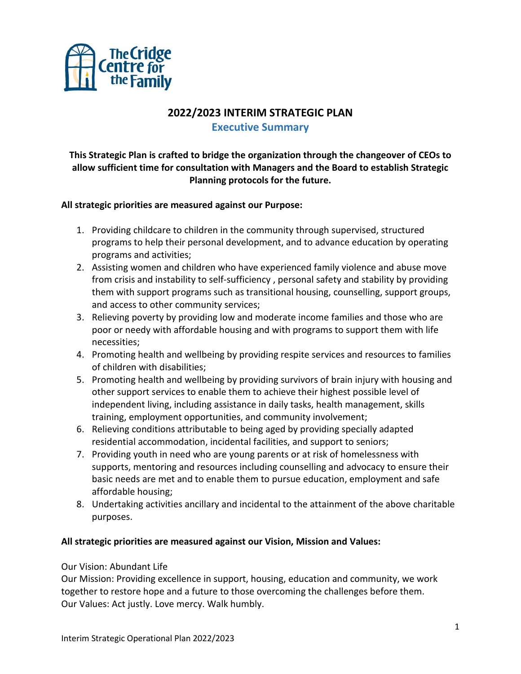

# **2022/2023 INTERIM STRATEGIC PLAN**

**Executive Summary**

**This Strategic Plan is crafted to bridge the organization through the changeover of CEOs to allow sufficient time for consultation with Managers and the Board to establish Strategic Planning protocols for the future.**

# **All strategic priorities are measured against our Purpose:**

- 1. Providing childcare to children in the community through supervised, structured programs to help their personal development, and to advance education by operating programs and activities;
- 2. Assisting women and children who have experienced family violence and abuse move from crisis and instability to self-sufficiency , personal safety and stability by providing them with support programs such as transitional housing, counselling, support groups, and access to other community services;
- 3. Relieving poverty by providing low and moderate income families and those who are poor or needy with affordable housing and with programs to support them with life necessities;
- 4. Promoting health and wellbeing by providing respite services and resources to families of children with disabilities;
- 5. Promoting health and wellbeing by providing survivors of brain injury with housing and other support services to enable them to achieve their highest possible level of independent living, including assistance in daily tasks, health management, skills training, employment opportunities, and community involvement;
- 6. Relieving conditions attributable to being aged by providing specially adapted residential accommodation, incidental facilities, and support to seniors;
- 7. Providing youth in need who are young parents or at risk of homelessness with supports, mentoring and resources including counselling and advocacy to ensure their basic needs are met and to enable them to pursue education, employment and safe affordable housing;
- 8. Undertaking activities ancillary and incidental to the attainment of the above charitable purposes.

### **All strategic priorities are measured against our Vision, Mission and Values:**

### Our Vision: Abundant Life

Our Mission: Providing excellence in support, housing, education and community, we work together to restore hope and a future to those overcoming the challenges before them. Our Values: Act justly. Love mercy. Walk humbly.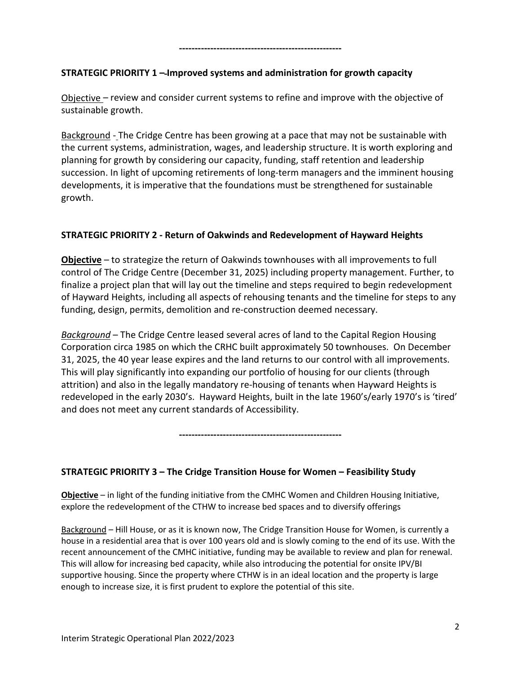### **----------------------------------------------------**

# **STRATEGIC PRIORITY 1 – Improved systems and administration for growth capacity**

Objective – review and consider current systems to refine and improve with the objective of sustainable growth.

Background - The Cridge Centre has been growing at a pace that may not be sustainable with the current systems, administration, wages, and leadership structure. It is worth exploring and planning for growth by considering our capacity, funding, staff retention and leadership succession. In light of upcoming retirements of long-term managers and the imminent housing developments, it is imperative that the foundations must be strengthened for sustainable growth.

# **STRATEGIC PRIORITY 2 - Return of Oakwinds and Redevelopment of Hayward Heights**

**Objective** – to strategize the return of Oakwinds townhouses with all improvements to full control of The Cridge Centre (December 31, 2025) including property management. Further, to finalize a project plan that will lay out the timeline and steps required to begin redevelopment of Hayward Heights, including all aspects of rehousing tenants and the timeline for steps to any funding, design, permits, demolition and re-construction deemed necessary.

*Background* – The Cridge Centre leased several acres of land to the Capital Region Housing Corporation circa 1985 on which the CRHC built approximately 50 townhouses. On December 31, 2025, the 40 year lease expires and the land returns to our control with all improvements. This will play significantly into expanding our portfolio of housing for our clients (through attrition) and also in the legally mandatory re-housing of tenants when Hayward Heights is redeveloped in the early 2030's. Hayward Heights, built in the late 1960's/early 1970's is 'tired' and does not meet any current standards of Accessibility.

**----------------------------------------------------**

### **STRATEGIC PRIORITY 3 – The Cridge Transition House for Women – Feasibility Study**

**Objective** – in light of the funding initiative from the CMHC Women and Children Housing Initiative, explore the redevelopment of the CTHW to increase bed spaces and to diversify offerings

Background – Hill House, or as it is known now, The Cridge Transition House for Women, is currently a house in a residential area that is over 100 years old and is slowly coming to the end of its use. With the recent announcement of the CMHC initiative, funding may be available to review and plan for renewal. This will allow for increasing bed capacity, while also introducing the potential for onsite IPV/BI supportive housing. Since the property where CTHW is in an ideal location and the property is large enough to increase size, it is first prudent to explore the potential of this site.